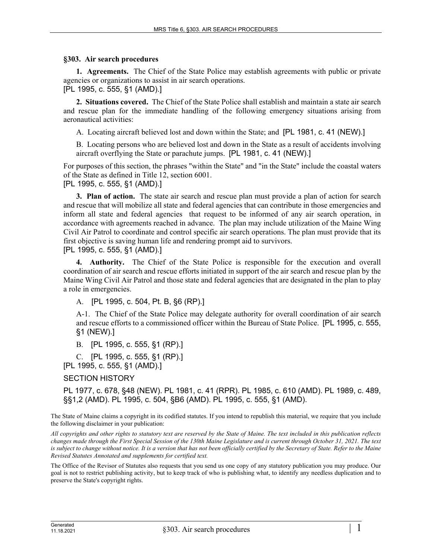## **§303. Air search procedures**

**1. Agreements.** The Chief of the State Police may establish agreements with public or private agencies or organizations to assist in air search operations.

[PL 1995, c. 555, §1 (AMD).]

**2. Situations covered.** The Chief of the State Police shall establish and maintain a state air search and rescue plan for the immediate handling of the following emergency situations arising from aeronautical activities:

A. Locating aircraft believed lost and down within the State; and [PL 1981, c. 41 (NEW).]

B. Locating persons who are believed lost and down in the State as a result of accidents involving aircraft overflying the State or parachute jumps. [PL 1981, c. 41 (NEW).]

For purposes of this section, the phrases "within the State" and "in the State" include the coastal waters of the State as defined in Title 12, section 6001.

[PL 1995, c. 555, §1 (AMD).]

**3. Plan of action.** The state air search and rescue plan must provide a plan of action for search and rescue that will mobilize all state and federal agencies that can contribute in those emergencies and inform all state and federal agencies that request to be informed of any air search operation, in accordance with agreements reached in advance. The plan may include utilization of the Maine Wing Civil Air Patrol to coordinate and control specific air search operations. The plan must provide that its first objective is saving human life and rendering prompt aid to survivors.

[PL 1995, c. 555, §1 (AMD).]

**4. Authority.** The Chief of the State Police is responsible for the execution and overall coordination of air search and rescue efforts initiated in support of the air search and rescue plan by the Maine Wing Civil Air Patrol and those state and federal agencies that are designated in the plan to play a role in emergencies.

A. [PL 1995, c. 504, Pt. B, §6 (RP).]

A-1. The Chief of the State Police may delegate authority for overall coordination of air search and rescue efforts to a commissioned officer within the Bureau of State Police. [PL 1995, c. 555, §1 (NEW).]

B. [PL 1995, c. 555, §1 (RP).]

C. [PL 1995, c. 555, §1 (RP).] [PL 1995, c. 555, §1 (AMD).]

SECTION HISTORY

PL 1977, c. 678, §48 (NEW). PL 1981, c. 41 (RPR). PL 1985, c. 610 (AMD). PL 1989, c. 489, §§1,2 (AMD). PL 1995, c. 504, §B6 (AMD). PL 1995, c. 555, §1 (AMD).

The State of Maine claims a copyright in its codified statutes. If you intend to republish this material, we require that you include the following disclaimer in your publication:

*All copyrights and other rights to statutory text are reserved by the State of Maine. The text included in this publication reflects changes made through the First Special Session of the 130th Maine Legislature and is current through October 31, 2021. The text*  is subject to change without notice. It is a version that has not been officially certified by the Secretary of State. Refer to the Maine *Revised Statutes Annotated and supplements for certified text.*

The Office of the Revisor of Statutes also requests that you send us one copy of any statutory publication you may produce. Our goal is not to restrict publishing activity, but to keep track of who is publishing what, to identify any needless duplication and to preserve the State's copyright rights.